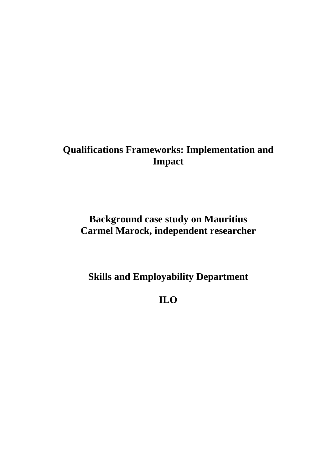# **Qualifications Frameworks: Implementation and Impact**

# **Background case study on Mauritius Carmel Marock, independent researcher**

**Skills and Employability Department** 

**ILO**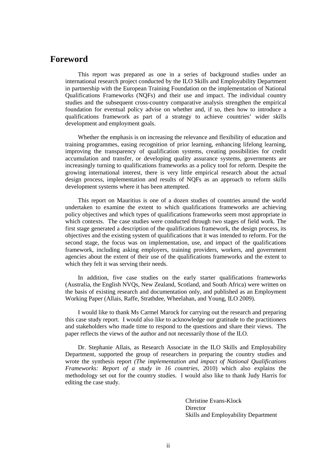#### **Foreword**

This report was prepared as one in a series of background studies under an international research project conducted by the ILO Skills and Employability Department in partnership with the European Training Foundation on the implementation of National Qualifications Frameworks (NQFs) and their use and impact. The individual country studies and the subsequent cross-country comparative analysis strengthen the empirical foundation for eventual policy advise on whether and, if so, then how to introduce a qualifications framework as part of a strategy to achieve countries' wider skills development and employment goals.

Whether the emphasis is on increasing the relevance and flexibility of education and training programmes, easing recognition of prior learning, enhancing lifelong learning, improving the transparency of qualification systems, creating possibilities for credit accumulation and transfer, or developing quality assurance systems, governments are increasingly turning to qualifications frameworks as a policy tool for reform. Despite the growing international interest, there is very little empirical research about the actual design process, implementation and results of NQFs as an approach to reform skills development systems where it has been attempted.

This report on Mauritius is one of a dozen studies of countries around the world undertaken to examine the extent to which qualifications frameworks are achieving policy objectives and which types of qualifications frameworks seem most appropriate in which contexts. The case studies were conducted through two stages of field work. The first stage generated a description of the qualifications framework, the design process, its objectives and the existing system of qualifications that it was intended to reform. For the second stage, the focus was on implementation, use, and impact of the qualifications framework, including asking employers, training providers, workers, and government agencies about the extent of their use of the qualifications frameworks and the extent to which they felt it was serving their needs.

In addition, five case studies on the early starter qualifications frameworks (Australia, the English NVQs, New Zealand, Scotland, and South Africa) were written on the basis of existing research and documentation only, and published as an Employment Working Paper (Allais, Raffe, Strathdee, Wheelahan, and Young, ILO 2009).

I would like to thank Ms Carmel Marock for carrying out the research and preparing this case study report. I would also like to acknowledge our gratitude to the practitioners and stakeholders who made time to respond to the questions and share their views. The paper reflects the views of the author and not necessarily those of the ILO.

Dr. Stephanie Allais, as Research Associate in the ILO Skills and Employability Department, supported the group of researchers in preparing the country studies and wrote the synthesis report *(The implementation and impact of National Qualifications Frameworks: Report of a study in 16 countries*, 2010) which also explains the methodology set out for the country studies. I would also like to thank Judy Harris for editing the case study.

> Christine Evans-Klock Director Skills and Employability Department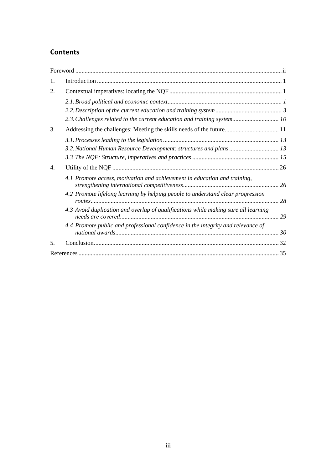### **Contents**

| $\mathbf{1}$ . |                                                                                    |    |
|----------------|------------------------------------------------------------------------------------|----|
| 2.             |                                                                                    |    |
|                |                                                                                    |    |
|                |                                                                                    |    |
|                | 2.3. Challenges related to the current education and training system 10            |    |
| 3.             |                                                                                    |    |
|                |                                                                                    |    |
|                | 3.2. National Human Resource Development: structures and plans 13                  |    |
|                |                                                                                    |    |
| 4.             |                                                                                    |    |
|                | 4.1 Promote access, motivation and achievement in education and training,          | 26 |
|                | 4.2 Promote lifelong learning by helping people to understand clear progression    | 28 |
|                | 4.3 Avoid duplication and overlap of qualifications while making sure all learning | 29 |
|                | 4.4 Promote public and professional confidence in the integrity and relevance of   | 30 |
| 5.             |                                                                                    |    |
|                |                                                                                    |    |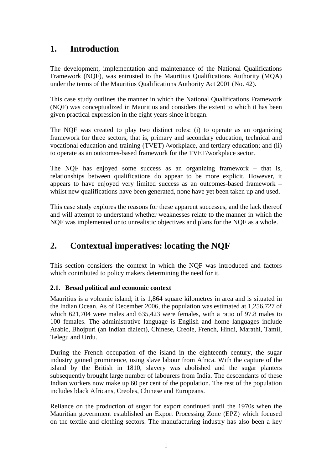### **1. Introduction**

The development, implementation and maintenance of the National Qualifications Framework (NQF), was entrusted to the Mauritius Qualifications Authority (MQA) under the terms of the Mauritius Qualifications Authority Act 2001 (No. 42).

This case study outlines the manner in which the National Qualifications Framework (NQF) was conceptualized in Mauritius and considers the extent to which it has been given practical expression in the eight years since it began.

The NQF was created to play two distinct roles: (i) to operate as an organizing framework for three sectors, that is, primary and secondary education, technical and vocational education and training (TVET) /workplace, and tertiary education; and (ii) to operate as an outcomes-based framework for the TVET/workplace sector.

The NQF has enjoyed some success as an organizing framework – that is, relationships between qualifications do appear to be more explicit. However, it appears to have enjoyed very limited success as an outcomes-based framework – whilst new qualifications have been generated, none have yet been taken up and used.

This case study explores the reasons for these apparent successes, and the lack thereof and will attempt to understand whether weaknesses relate to the manner in which the NQF was implemented or to unrealistic objectives and plans for the NQF as a whole.

## **2. Contextual imperatives: locating the NQF**

This section considers the context in which the NQF was introduced and factors which contributed to policy makers determining the need for it.

#### **2.1. Broad political and economic context**

Mauritius is a volcanic island; it is 1,864 square kilometres in area and is situated in the Indian Ocean. As of December 2006, the population was estimated at 1,256,727 of which 621,704 were males and 635,423 were females, with a ratio of 97.8 males to 100 females. The administrative language is English and home languages include Arabic, Bhojpuri (an Indian dialect), Chinese, Creole, French, Hindi, Marathi, Tamil, Telegu and Urdu.

During the French occupation of the island in the eighteenth century, the sugar industry gained prominence, using slave labour from Africa. With the capture of the island by the British in 1810, slavery was abolished and the sugar planters subsequently brought large number of labourers from India. The descendants of these Indian workers now make up 60 per cent of the population. The rest of the population includes black Africans, Creoles, Chinese and Europeans.

Reliance on the production of sugar for export continued until the 1970s when the Mauritian government established an Export Processing Zone (EPZ) which focused on the textile and clothing sectors. The manufacturing industry has also been a key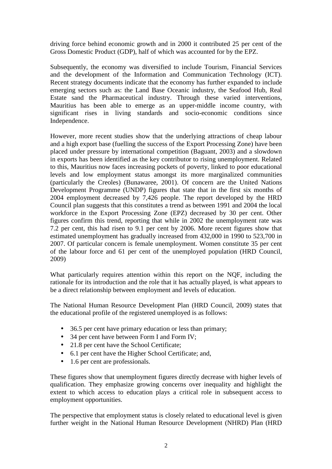driving force behind economic growth and in 2000 it contributed 25 per cent of the Gross Domestic Product (GDP), half of which was accounted for by the EPZ.

Subsequently, the economy was diversified to include Tourism, Financial Services and the development of the Information and Communication Technology (ICT). Recent strategy documents indicate that the economy has further expanded to include emerging sectors such as: the Land Base Oceanic industry, the Seafood Hub, Real Estate sand the Pharmaceutical industry. Through these varied interventions, Mauritius has been able to emerge as an upper-middle income country, with significant rises in living standards and socio-economic conditions since Independence.

However, more recent studies show that the underlying attractions of cheap labour and a high export base (fuelling the success of the Export Processing Zone) have been placed under pressure by international competition (Baguant, 2003) and a slowdown in exports has been identified as the key contributor to rising unemployment. Related to this, Mauritius now faces increasing pockets of poverty, linked to poor educational levels and low employment status amongst its more marginalized communities (particularly the Creoles) (Bunawaree, 2001). Of concern are the United Nations Development Programme (UNDP) figures that state that in the first six months of 2004 employment decreased by 7,426 people. The report developed by the HRD Council plan suggests that this constitutes a trend as between 1991 and 2004 the local workforce in the Export Processing Zone (EPZ) decreased by 30 per cent. Other figures confirm this trend, reporting that while in 2002 the unemployment rate was 7.2 per cent, this had risen to 9.1 per cent by 2006. More recent figures show that estimated unemployment has gradually increased from 432,000 in 1990 to 523,700 in 2007. Of particular concern is female unemployment. Women constitute 35 per cent of the labour force and 61 per cent of the unemployed population (HRD Council, 2009)

What particularly requires attention within this report on the NQF, including the rationale for its introduction and the role that it has actually played, is what appears to be a direct relationship between employment and levels of education.

The National Human Resource Development Plan (HRD Council, 2009) states that the educational profile of the registered unemployed is as follows:

- 36.5 per cent have primary education or less than primary;
- 34 per cent have between Form I and Form IV;
- 21.8 per cent have the School Certificate;
- 6.1 per cent have the Higher School Certificate; and,
- 1.6 per cent are professionals.

These figures show that unemployment figures directly decrease with higher levels of qualification. They emphasize growing concerns over inequality and highlight the extent to which access to education plays a critical role in subsequent access to employment opportunities.

The perspective that employment status is closely related to educational level is given further weight in the National Human Resource Development (NHRD) Plan (HRD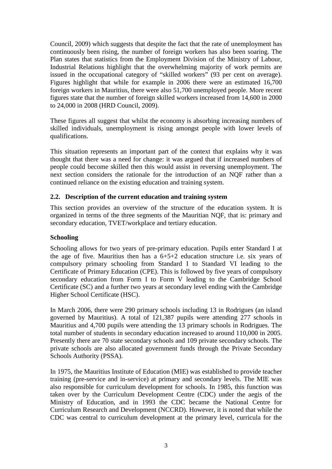Council, 2009) which suggests that despite the fact that the rate of unemployment has continuously been rising, the number of foreign workers has also been soaring. The Plan states that statistics from the Employment Division of the Ministry of Labour, Industrial Relations highlight that the overwhelming majority of work permits are issued in the occupational category of "skilled workers" (93 per cent on average). Figures highlight that while for example in 2006 there were an estimated 16,700 foreign workers in Mauritius, there were also 51,700 unemployed people. More recent figures state that the number of foreign skilled workers increased from 14,600 in 2000 to 24,000 in 2008 (HRD Council, 2009).

These figures all suggest that whilst the economy is absorbing increasing numbers of skilled individuals, unemployment is rising amongst people with lower levels of qualifications.

This situation represents an important part of the context that explains why it was thought that there was a need for change: it was argued that if increased numbers of people could become skilled then this would assist in reversing unemployment. The next section considers the rationale for the introduction of an NQF rather than a continued reliance on the existing education and training system.

#### **2.2. Description of the current education and training system**

This section provides an overview of the structure of the education system. It is organized in terms of the three segments of the Mauritian NQF, that is: primary and secondary education, TVET/workplace and tertiary education.

#### **Schooling**

Schooling allows for two years of pre-primary education. Pupils enter Standard I at the age of five. Mauritius then has a  $6+5+2$  education structure i.e. six years of compulsory primary schooling from Standard I to Standard VI leading to the Certificate of Primary Education (CPE). This is followed by five years of compulsory secondary education from Form I to Form V leading to the Cambridge School Certificate (SC) and a further two years at secondary level ending with the Cambridge Higher School Certificate (HSC).

In March 2006, there were 290 primary schools including 13 in Rodrigues (an island governed by Mauritius). A total of 121,387 pupils were attending 277 schools in Mauritius and 4,700 pupils were attending the 13 primary schools in Rodrigues. The total number of students in secondary education increased to around 110,000 in 2005. Presently there are 70 state secondary schools and 109 private secondary schools. The private schools are also allocated government funds through the Private Secondary Schools Authority (PSSA).

In 1975, the Mauritius Institute of Education (MIE) was established to provide teacher training (pre-service and in-service) at primary and secondary levels. The MIE was also responsible for curriculum development for schools. In 1985, this function was taken over by the Curriculum Development Centre (CDC) under the aegis of the Ministry of Education, and in 1993 the CDC became the National Centre for Curriculum Research and Development (NCCRD). However, it is noted that while the CDC was central to curriculum development at the primary level, curricula for the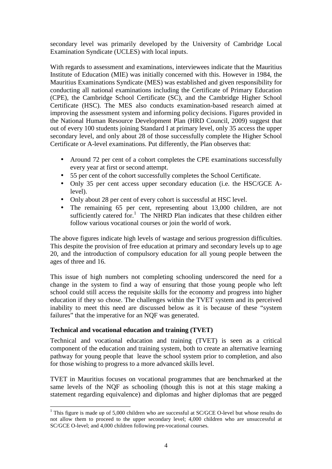secondary level was primarily developed by the University of Cambridge Local Examination Syndicate (UCLES) with local inputs.

With regards to assessment and examinations, interviewees indicate that the Mauritius Institute of Education (MIE) was initially concerned with this. However in 1984, the Mauritius Examinations Syndicate (MES) was established and given responsibility for conducting all national examinations including the Certificate of Primary Education (CPE), the Cambridge School Certificate (SC), and the Cambridge Higher School Certificate (HSC). The MES also conducts examination-based research aimed at improving the assessment system and informing policy decisions. Figures provided in the National Human Resource Development Plan (HRD Council, 2009) suggest that out of every 100 students joining Standard I at primary level, only 35 access the upper secondary level, and only about 28 of those successfully complete the Higher School Certificate or A-level examinations. Put differently, the Plan observes that:

- Around 72 per cent of a cohort completes the CPE examinations successfully every year at first or second attempt.
- 55 per cent of the cohort successfully completes the School Certificate.
- Only 35 per cent access upper secondary education (i.e. the HSC/GCE Alevel).
- Only about 28 per cent of every cohort is successful at HSC level.
- The remaining 65 per cent, representing about 13,000 children, are not sufficiently catered for.<sup>1</sup> The NHRD Plan indicates that these children either follow various vocational courses or join the world of work.

The above figures indicate high levels of wastage and serious progression difficulties. This despite the provision of free education at primary and secondary levels up to age 20, and the introduction of compulsory education for all young people between the ages of three and 16.

This issue of high numbers not completing schooling underscored the need for a change in the system to find a way of ensuring that those young people who left school could still access the requisite skills for the economy and progress into higher education if they so chose. The challenges within the TVET system and its perceived inability to meet this need are discussed below as it is because of these "system failures" that the imperative for an NQF was generated.

#### **Technical and vocational education and training (TVET)**

Technical and vocational education and training (TVET) is seen as a critical component of the education and training system, both to create an alternative learning pathway for young people that leave the school system prior to completion, and also for those wishing to progress to a more advanced skills level.

TVET in Mauritius focuses on vocational programmes that are benchmarked at the same levels of the NQF as schooling (though this is not at this stage making a statement regarding equivalence) and diplomas and higher diplomas that are pegged

<sup>&</sup>lt;sup>1</sup> This figure is made up of 5,000 children who are successful at SC/GCE O-level but whose results do not allow them to proceed to the upper secondary level; 4,000 children who are unsuccessful at SC/GCE O-level; and 4,000 children following pre-vocational courses.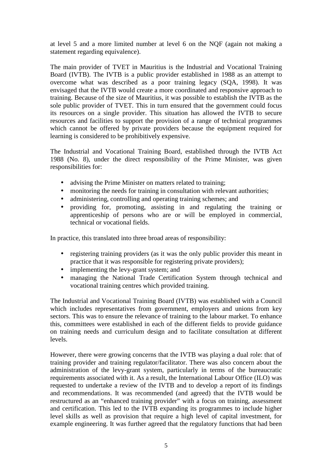at level 5 and a more limited number at level 6 on the NQF (again not making a statement regarding equivalence).

The main provider of TVET in Mauritius is the Industrial and Vocational Training Board (IVTB). The IVTB is a public provider established in 1988 as an attempt to overcome what was described as a poor training legacy (SQA, 1998). It was envisaged that the IVTB would create a more coordinated and responsive approach to training. Because of the size of Mauritius, it was possible to establish the IVTB as the sole public provider of TVET. This in turn ensured that the government could focus its resources on a single provider. This situation has allowed the IVTB to secure resources and facilities to support the provision of a range of technical programmes which cannot be offered by private providers because the equipment required for learning is considered to be prohibitively expensive.

The Industrial and Vocational Training Board, established through the IVTB Act 1988 (No. 8), under the direct responsibility of the Prime Minister, was given responsibilities for:

- advising the Prime Minister on matters related to training;
- monitoring the needs for training in consultation with relevant authorities;
- administering, controlling and operating training schemes; and
- providing for, promoting, assisting in and regulating the training or apprenticeship of persons who are or will be employed in commercial, technical or vocational fields.

In practice, this translated into three broad areas of responsibility:

- registering training providers (as it was the only public provider this meant in practice that it was responsible for registering private providers);
- implementing the levy-grant system; and
- managing the National Trade Certification System through technical and vocational training centres which provided training.

The Industrial and Vocational Training Board (IVTB) was established with a Council which includes representatives from government, employers and unions from key sectors. This was to ensure the relevance of training to the labour market. To enhance this, committees were established in each of the different fields to provide guidance on training needs and curriculum design and to facilitate consultation at different levels.

However, there were growing concerns that the IVTB was playing a dual role: that of training provider and training regulator/facilitator. There was also concern about the administration of the levy-grant system, particularly in terms of the bureaucratic requirements associated with it. As a result, the International Labour Office (ILO) was requested to undertake a review of the IVTB and to develop a report of its findings and recommendations. It was recommended (and agreed) that the IVTB would be restructured as an "enhanced training provider" with a focus on training, assessment and certification. This led to the IVTB expanding its programmes to include higher level skills as well as provision that require a high level of capital investment, for example engineering. It was further agreed that the regulatory functions that had been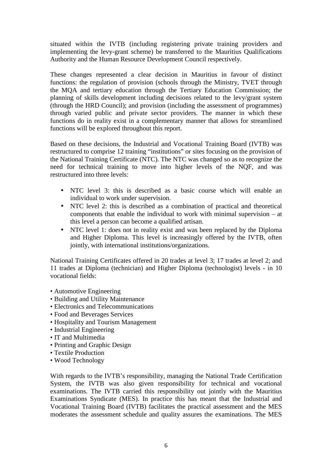situated within the IVTB (including registering private training providers and implementing the levy-grant scheme) be transferred to the Mauritius Qualifications Authority and the Human Resource Development Council respectively.

These changes represented a clear decision in Mauritius in favour of distinct functions: the regulation of provision (schools through the Ministry, TVET through the MQA and tertiary education through the Tertiary Education Commission; the planning of skills development including decisions related to the levy/grant system (through the HRD Council); and provision (including the assessment of programmes) through varied public and private sector providers. The manner in which these functions do in reality exist in a complementary manner that allows for streamlined functions will be explored throughout this report.

Based on these decisions, the Industrial and Vocational Training Board (IVTB) was restructured to comprise 12 training "institutions" or sites focusing on the provision of the National Training Certificate (NTC). The NTC was changed so as to recognize the need for technical training to move into higher levels of the NQF, and was restructured into three levels:

- NTC level 3: this is described as a basic course which will enable an individual to work under supervision.
- NTC level 2: this is described as a combination of practical and theoretical components that enable the individual to work with minimal supervision – at this level a person can become a qualified artisan.
- NTC level 1: does not in reality exist and was been replaced by the Diploma and Higher Diploma. This level is increasingly offered by the IVTB, often jointly, with international institutions/organizations.

National Training Certificates offered in 20 trades at level 3; 17 trades at level 2; and 11 trades at Diploma (technician) and Higher Diploma (technologist) levels - in 10 vocational fields:

- Automotive Engineering
- Building and Utility Maintenance
- Electronics and Telecommunications
- Food and Beverages Services
- Hospitality and Tourism Management
- Industrial Engineering
- IT and Multimedia
- Printing and Graphic Design
- Textile Production
- Wood Technology

With regards to the IVTB's responsibility, managing the National Trade Certification System, the IVTB was also given responsibility for technical and vocational examinations. The IVTB carried this responsibility out jointly with the Mauritius Examinations Syndicate (MES). In practice this has meant that the Industrial and Vocational Training Board (IVTB) facilitates the practical assessment and the MES moderates the assessment schedule and quality assures the examinations. The MES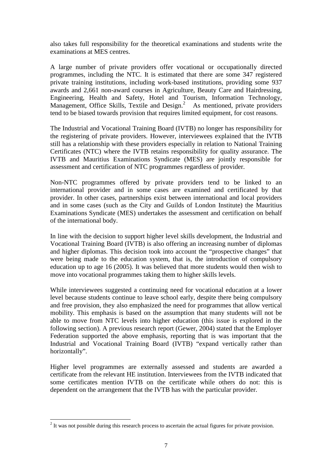also takes full responsibility for the theoretical examinations and students write the examinations at MES centres.

A large number of private providers offer vocational or occupationally directed programmes, including the NTC. It is estimated that there are some 347 registered private training institutions, including work-based institutions, providing some 937 awards and 2,661 non-award courses in Agriculture, Beauty Care and Hairdressing, Engineering, Health and Safety, Hotel and Tourism, Information Technology, Management, Office Skills, Textile and Design.<sup>2</sup> As mentioned, private providers tend to be biased towards provision that requires limited equipment, for cost reasons.

The Industrial and Vocational Training Board (IVTB) no longer has responsibility for the registering of private providers. However, interviewees explained that the IVTB still has a relationship with these providers especially in relation to National Training Certificates (NTC) where the IVTB retains responsibility for quality assurance. The IVTB and Mauritius Examinations Syndicate (MES) are jointly responsible for assessment and certification of NTC programmes regardless of provider.

Non-NTC programmes offered by private providers tend to be linked to an international provider and in some cases are examined and certificated by that provider. In other cases, partnerships exist between international and local providers and in some cases (such as the City and Guilds of London Institute) the Mauritius Examinations Syndicate (MES) undertakes the assessment and certification on behalf of the international body.

In line with the decision to support higher level skills development, the Industrial and Vocational Training Board (IVTB) is also offering an increasing number of diplomas and higher diplomas. This decision took into account the "prospective changes" that were being made to the education system, that is, the introduction of compulsory education up to age 16 (2005). It was believed that more students would then wish to move into vocational programmes taking them to higher skills levels.

While interviewees suggested a continuing need for vocational education at a lower level because students continue to leave school early, despite there being compulsory and free provision, they also emphasized the need for programmes that allow vertical mobility. This emphasis is based on the assumption that many students will not be able to move from NTC levels into higher education (this issue is explored in the following section). A previous research report (Gewer, 2004) stated that the Employer Federation supported the above emphasis, reporting that is was important that the Industrial and Vocational Training Board (IVTB) "expand vertically rather than horizontally".

Higher level programmes are externally assessed and students are awarded a certificate from the relevant HE institution. Interviewees from the IVTB indicated that some certificates mention IVTB on the certificate while others do not: this is dependent on the arrangement that the IVTB has with the particular provider.

<sup>&</sup>lt;sup>2</sup> It was not possible during this research process to ascertain the actual figures for private provision.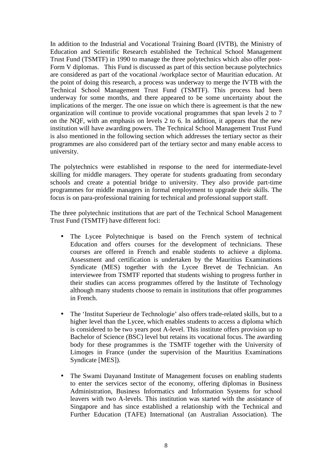In addition to the Industrial and Vocational Training Board (IVTB), the Ministry of Education and Scientific Research established the Technical School Management Trust Fund (TSMTF) in 1990 to manage the three polytechnics which also offer post-Form V diplomas. This Fund is discussed as part of this section because polytechnics are considered as part of the vocational /workplace sector of Mauritian education. At the point of doing this research, a process was underway to merge the IVTB with the Technical School Management Trust Fund (TSMTF). This process had been underway for some months, and there appeared to be some uncertainty about the implications of the merger. The one issue on which there is agreement is that the new organization will continue to provide vocational programmes that span levels 2 to 7 on the NQF, with an emphasis on levels 2 to 6. In addition, it appears that the new institution will have awarding powers. The Technical School Management Trust Fund is also mentioned in the following section which addresses the tertiary sector as their programmes are also considered part of the tertiary sector and many enable access to university.

The polytechnics were established in response to the need for intermediate-level skilling for middle managers. They operate for students graduating from secondary schools and create a potential bridge to university. They also provide part-time programmes for middle managers in formal employment to upgrade their skills. The focus is on para-professional training for technical and professional support staff.

The three polytechnic institutions that are part of the Technical School Management Trust Fund (TSMTF) have different foci:

- The Lycee Polytechnique is based on the French system of technical Education and offers courses for the development of technicians. These courses are offered in French and enable students to achieve a diploma. Assessment and certification is undertaken by the Mauritius Examinations Syndicate (MES) together with the Lycee Brevet de Technician. An interviewee from TSMTF reported that students wishing to progress further in their studies can access programmes offered by the Institute of Technology although many students choose to remain in institutions that offer programmes in French.
- The 'Institut Superieur de Technologie' also offers trade-related skills, but to a higher level than the Lycee, which enables students to access a diploma which is considered to be two years post A-level. This institute offers provision up to Bachelor of Science (BSC) level but retains its vocational focus. The awarding body for these programmes is the TSMTF together with the University of Limoges in France (under the supervision of the Mauritius Examinations Syndicate [MES]).
- The Swami Dayanand Institute of Management focuses on enabling students to enter the services sector of the economy, offering diplomas in Business Administration, Business Informatics and Information Systems for school leavers with two A-levels. This institution was started with the assistance of Singapore and has since established a relationship with the Technical and Further Education (TAFE) International (an Australian Association). The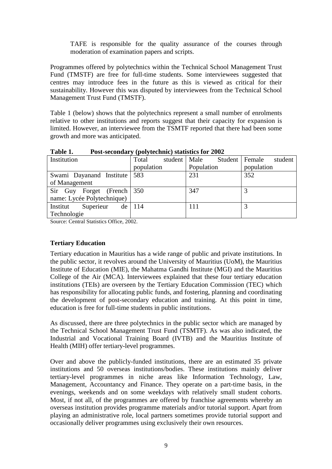TAFE is responsible for the quality assurance of the courses through moderation of examination papers and scripts.

Programmes offered by polytechnics within the Technical School Management Trust Fund (TMSTF) are free for full-time students. Some interviewees suggested that centres may introduce fees in the future as this is viewed as critical for their sustainability. However this was disputed by interviewees from the Technical School Management Trust Fund (TMSTF).

Table 1 (below) shows that the polytechnics represent a small number of enrolments relative to other institutions and reports suggest that their capacity for expansion is limited. However, an interviewee from the TSMTF reported that there had been some growth and more was anticipated.

| ***** **<br>$\frac{1}{2}$ one becomed $\frac{1}{2}$ (port technic) beautified for $\frac{1}{2}$ |                         |            |                          |  |  |
|-------------------------------------------------------------------------------------------------|-------------------------|------------|--------------------------|--|--|
| Institution                                                                                     | student   Male<br>Total | Student    | <b>Female</b><br>student |  |  |
|                                                                                                 | population              | Population | population               |  |  |
| Swami Dayanand Institute 583                                                                    |                         | 231        | 352                      |  |  |
| of Management                                                                                   |                         |            |                          |  |  |
| Forget (French 350<br>Sir Guy                                                                   |                         | 347        |                          |  |  |
| name: Lycée Polytechnique)                                                                      |                         |            |                          |  |  |
| Superieur<br>Institut                                                                           | de   $114$              | 111        |                          |  |  |
| Technologie                                                                                     |                         |            |                          |  |  |
|                                                                                                 |                         |            |                          |  |  |

**Table 1. Post-secondary (polytechnic) statistics for 2002** 

Source: Central Statistics Office, 2002.

#### **Tertiary Education**

Tertiary education in Mauritius has a wide range of public and private institutions. In the public sector, it revolves around the University of Mauritius (UoM), the Mauritius Institute of Education (MIE), the Mahatma Gandhi Institute (MGI) and the Mauritius College of the Air (MCA). Interviewees explained that these four tertiary education institutions (TEIs) are overseen by the Tertiary Education Commission (TEC) which has responsibility for allocating public funds, and fostering, planning and coordinating the development of post-secondary education and training. At this point in time, education is free for full-time students in public institutions.

As discussed, there are three polytechnics in the public sector which are managed by the Technical School Management Trust Fund (TSMTF). As was also indicated, the Industrial and Vocational Training Board (IVTB) and the Mauritius Institute of Health (MIH) offer tertiary-level programmes.

Over and above the publicly-funded institutions, there are an estimated 35 private institutions and 50 overseas institutions/bodies. These institutions mainly deliver tertiary-level programmes in niche areas like Information Technology, Law, Management, Accountancy and Finance. They operate on a part-time basis, in the evenings, weekends and on some weekdays with relatively small student cohorts. Most, if not all, of the programmes are offered by franchise agreements whereby an overseas institution provides programme materials and/or tutorial support. Apart from playing an administrative role, local partners sometimes provide tutorial support and occasionally deliver programmes using exclusively their own resources.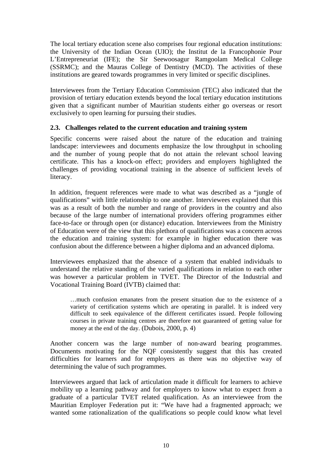The local tertiary education scene also comprises four regional education institutions: the University of the Indian Ocean (UIO); the Institut de la Francophonie Pour L'Entrepreneuriat (IFE); the Sir Seewoosagur Ramgoolam Medical College (SSRMC); and the Mauras College of Dentistry (MCD). The activities of these institutions are geared towards programmes in very limited or specific disciplines.

Interviewees from the Tertiary Education Commission (TEC) also indicated that the provision of tertiary education extends beyond the local tertiary education institutions given that a significant number of Mauritian students either go overseas or resort exclusively to open learning for pursuing their studies.

#### **2.3. Challenges related to the current education and training system**

Specific concerns were raised about the nature of the education and training landscape: interviewees and documents emphasize the low throughput in schooling and the number of young people that do not attain the relevant school leaving certificate. This has a knock-on effect; providers and employers highlighted the challenges of providing vocational training in the absence of sufficient levels of literacy.

In addition, frequent references were made to what was described as a "jungle of qualifications" with little relationship to one another. Interviewees explained that this was as a result of both the number and range of providers in the country and also because of the large number of international providers offering programmes either face-to-face or through open (or distance) education. Interviewees from the Ministry of Education were of the view that this plethora of qualifications was a concern across the education and training system: for example in higher education there was confusion about the difference between a higher diploma and an advanced diploma.

Interviewees emphasized that the absence of a system that enabled individuals to understand the relative standing of the varied qualifications in relation to each other was however a particular problem in TVET. The Director of the Industrial and Vocational Training Board (IVTB) claimed that:

…much confusion emanates from the present situation due to the existence of a variety of certification systems which are operating in parallel. It is indeed very difficult to seek equivalence of the different certificates issued. People following courses in private training centres are therefore not guaranteed of getting value for money at the end of the day. (Dubois, 2000, p. 4)

Another concern was the large number of non-award bearing programmes. Documents motivating for the NQF consistently suggest that this has created difficulties for learners and for employers as there was no objective way of determining the value of such programmes.

Interviewees argued that lack of articulation made it difficult for learners to achieve mobility up a learning pathway and for employers to know what to expect from a graduate of a particular TVET related qualification. As an interviewee from the Mauritian Employer Federation put it: "We have had a fragmented approach; we wanted some rationalization of the qualifications so people could know what level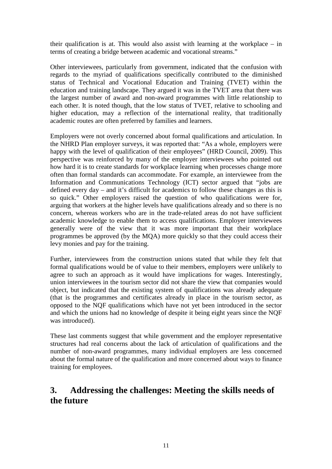their qualification is at. This would also assist with learning at the workplace – in terms of creating a bridge between academic and vocational streams."

Other interviewees, particularly from government, indicated that the confusion with regards to the myriad of qualifications specifically contributed to the diminished status of Technical and Vocational Education and Training (TVET) within the education and training landscape. They argued it was in the TVET area that there was the largest number of award and non-award programmes with little relationship to each other. It is noted though, that the low status of TVET, relative to schooling and higher education, may a reflection of the international reality, that traditionally academic routes are often preferred by families and learners.

Employers were not overly concerned about formal qualifications and articulation. In the NHRD Plan employer surveys, it was reported that: "As a whole, employers were happy with the level of qualification of their employees" (HRD Council, 2009). This perspective was reinforced by many of the employer interviewees who pointed out how hard it is to create standards for workplace learning when processes change more often than formal standards can accommodate. For example, an interviewee from the Information and Communications Technology (ICT) sector argued that "jobs are defined every day – and it's difficult for academics to follow these changes as this is so quick." Other employers raised the question of who qualifications were for, arguing that workers at the higher levels have qualifications already and so there is no concern, whereas workers who are in the trade-related areas do not have sufficient academic knowledge to enable them to access qualifications. Employer interviewees generally were of the view that it was more important that their workplace programmes be approved (by the MQA) more quickly so that they could access their levy monies and pay for the training.

Further, interviewees from the construction unions stated that while they felt that formal qualifications would be of value to their members, employers were unlikely to agree to such an approach as it would have implications for wages. Interestingly, union interviewees in the tourism sector did not share the view that companies would object, but indicated that the existing system of qualifications was already adequate (that is the programmes and certificates already in place in the tourism sector, as opposed to the NQF qualifications which have not yet been introduced in the sector and which the unions had no knowledge of despite it being eight years since the NQF was introduced).

These last comments suggest that while government and the employer representative structures had real concerns about the lack of articulation of qualifications and the number of non-award programmes, many individual employers are less concerned about the formal nature of the qualification and more concerned about ways to finance training for employees.

### **3. Addressing the challenges: Meeting the skills needs of the future**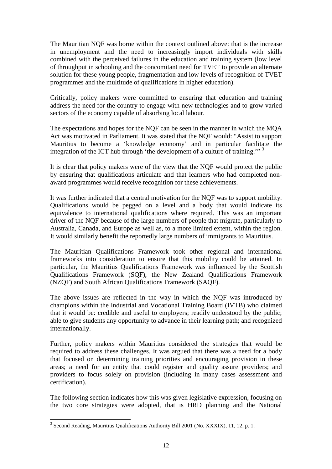The Mauritian NQF was borne within the context outlined above: that is the increase in unemployment and the need to increasingly import individuals with skills combined with the perceived failures in the education and training system (low level of throughput in schooling and the concomitant need for TVET to provide an alternate solution for these young people, fragmentation and low levels of recognition of TVET programmes and the multitude of qualifications in higher education).

Critically, policy makers were committed to ensuring that education and training address the need for the country to engage with new technologies and to grow varied sectors of the economy capable of absorbing local labour.

The expectations and hopes for the NQF can be seen in the manner in which the MQA Act was motivated in Parliament. It was stated that the NQF would: "Assist to support Mauritius to become a 'knowledge economy' and in particular facilitate the integration of the ICT hub through 'the development of a culture of training.'" <sup>3</sup>

It is clear that policy makers were of the view that the NQF would protect the public by ensuring that qualifications articulate and that learners who had completed nonaward programmes would receive recognition for these achievements.

It was further indicated that a central motivation for the NQF was to support mobility. Qualifications would be pegged on a level and a body that would indicate its equivalence to international qualifications where required. This was an important driver of the NQF because of the large numbers of people that migrate, particularly to Australia, Canada, and Europe as well as, to a more limited extent, within the region. It would similarly benefit the reportedly large numbers of immigrants to Mauritius.

The Mauritian Qualifications Framework took other regional and international frameworks into consideration to ensure that this mobility could be attained. In particular, the Mauritius Qualifications Framework was influenced by the Scottish Qualifications Framework (SQF), the New Zealand Qualifications Framework (NZQF) and South African Qualifications Framework (SAQF).

The above issues are reflected in the way in which the NQF was introduced by champions within the Industrial and Vocational Training Board (IVTB) who claimed that it would be: credible and useful to employers; readily understood by the public; able to give students any opportunity to advance in their learning path; and recognized internationally.

Further, policy makers within Mauritius considered the strategies that would be required to address these challenges. It was argued that there was a need for a body that focused on determining training priorities and encouraging provision in these areas; a need for an entity that could register and quality assure providers; and providers to focus solely on provision (including in many cases assessment and certification).

The following section indicates how this was given legislative expression, focusing on the two core strategies were adopted, that is HRD planning and the National

 $\overline{a}$ <sup>3</sup> Second Reading, Mauritius Qualifications Authority Bill 2001 (No. XXXIX), 11, 12, p. 1.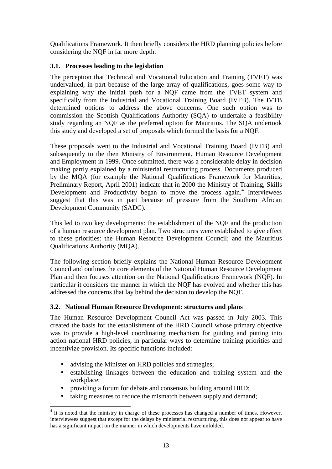Qualifications Framework. It then briefly considers the HRD planning policies before considering the NQF in far more depth.

#### **3.1. Processes leading to the legislation**

The perception that Technical and Vocational Education and Training (TVET) was undervalued, in part because of the large array of qualifications, goes some way to explaining why the initial push for a NQF came from the TVET system and specifically from the Industrial and Vocational Training Board (IVTB). The IVTB determined options to address the above concerns. One such option was to commission the Scottish Qualifications Authority (SQA) to undertake a feasibility study regarding an NQF as the preferred option for Mauritius. The SQA undertook this study and developed a set of proposals which formed the basis for a NQF.

These proposals went to the Industrial and Vocational Training Board (IVTB) and subsequently to the then Ministry of Environment, Human Resource Development and Employment in 1999. Once submitted, there was a considerable delay in decision making partly explained by a ministerial restructuring process. Documents produced by the MQA (for example the National Qualifications Framework for Mauritius, Preliminary Report, April 2001) indicate that in 2000 the Ministry of Training, Skills Development and Productivity began to move the process again.<sup>4</sup> Interviewees suggest that this was in part because of pressure from the Southern African Development Community (SADC).

This led to two key developments: the establishment of the NQF and the production of a human resource development plan. Two structures were established to give effect to these priorities: the Human Resource Development Council; and the Mauritius Qualifications Authority (MQA).

The following section briefly explains the National Human Resource Development Council and outlines the core elements of the National Human Resource Development Plan and then focuses attention on the National Qualifications Framework (NQF). In particular it considers the manner in which the NQF has evolved and whether this has addressed the concerns that lay behind the decision to develop the NQF.

#### **3.2. National Human Resource Development: structures and plans**

The Human Resource Development Council Act was passed in July 2003. This created the basis for the establishment of the HRD Council whose primary objective was to provide a high-level coordinating mechanism for guiding and putting into action national HRD policies, in particular ways to determine training priorities and incentivize provision. Its specific functions included:

- advising the Minister on HRD policies and strategies;
- establishing linkages between the education and training system and the workplace;
- providing a forum for debate and consensus building around HRD;
- taking measures to reduce the mismatch between supply and demand;

 $\overline{a}$ <sup>4</sup> It is noted that the ministry in charge of these processes has changed a number of times. However, interviewees suggest that except for the delays by ministerial restructuring, this does not appear to have has a significant impact on the manner in which developments have unfolded.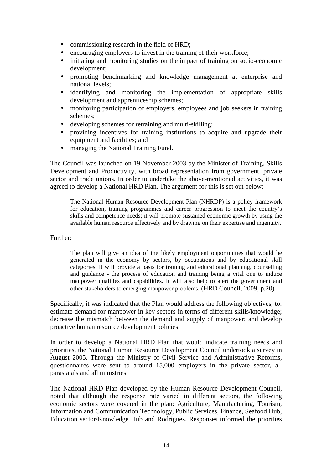- commissioning research in the field of HRD;
- encouraging employers to invest in the training of their workforce;
- initiating and monitoring studies on the impact of training on socio-economic development;
- promoting benchmarking and knowledge management at enterprise and national levels;
- identifying and monitoring the implementation of appropriate skills development and apprenticeship schemes;
- monitoring participation of employers, employees and job seekers in training schemes;
- developing schemes for retraining and multi-skilling;
- providing incentives for training institutions to acquire and upgrade their equipment and facilities; and
- managing the National Training Fund.

The Council was launched on 19 November 2003 by the Minister of Training, Skills Development and Productivity, with broad representation from government, private sector and trade unions. In order to undertake the above-mentioned activities, it was agreed to develop a National HRD Plan. The argument for this is set out below:

The National Human Resource Development Plan (NHRDP) is a policy framework for education, training programmes and career progression to meet the country's skills and competence needs; it will promote sustained economic growth by using the available human resource effectively and by drawing on their expertise and ingenuity.

#### Further:

The plan will give an idea of the likely employment opportunities that would be generated in the economy by sectors, by occupations and by educational skill categories. It will provide a basis for training and educational planning, counselling and guidance - the process of education and training being a vital one to induce manpower qualities and capabilities. It will also help to alert the government and other stakeholders to emerging manpower problems. (HRD Council, 2009, p.20)

Specifically, it was indicated that the Plan would address the following objectives, to: estimate demand for manpower in key sectors in terms of different skills/knowledge; decrease the mismatch between the demand and supply of manpower; and develop proactive human resource development policies.

In order to develop a National HRD Plan that would indicate training needs and priorities, the National Human Resource Development Council undertook a survey in August 2005. Through the Ministry of Civil Service and Administrative Reforms, questionnaires were sent to around 15,000 employers in the private sector, all parastatals and all ministries.

The National HRD Plan developed by the Human Resource Development Council, noted that although the response rate varied in different sectors, the following economic sectors were covered in the plan: Agriculture, Manufacturing, Tourism, Information and Communication Technology, Public Services, Finance, Seafood Hub, Education sector/Knowledge Hub and Rodrigues. Responses informed the priorities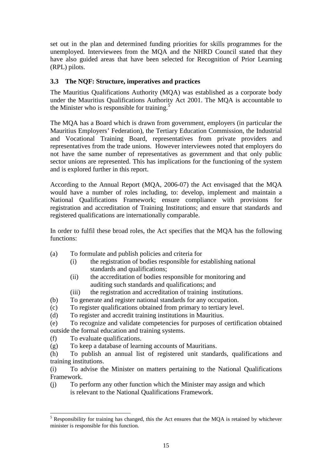set out in the plan and determined funding priorities for skills programmes for the unemployed. Interviewees from the MQA and the NHRD Council stated that they have also guided areas that have been selected for Recognition of Prior Learning (RPL) pilots.

#### **3.3 The NQF: Structure, imperatives and practices**

The Mauritius Qualifications Authority (MQA) was established as a corporate body under the Mauritius Qualifications Authority Act 2001. The MQA is accountable to the Minister who is responsible for training.<sup>5</sup>

The MQA has a Board which is drawn from government, employers (in particular the Mauritius Employers' Federation), the Tertiary Education Commission, the Industrial and Vocational Training Board, representatives from private providers and representatives from the trade unions. However interviewees noted that employers do not have the same number of representatives as government and that only public sector unions are represented. This has implications for the functioning of the system and is explored further in this report.

According to the Annual Report (MQA, 2006-07) the Act envisaged that the MQA would have a number of roles including, to: develop, implement and maintain a National Qualifications Framework; ensure compliance with provisions for registration and accreditation of Training Institutions; and ensure that standards and registered qualifications are internationally comparable.

In order to fulfil these broad roles, the Act specifies that the MQA has the following functions:

- (a) To formulate and publish policies and criteria for
	- (i) the registration of bodies responsible for establishing national standards and qualifications;
	- (ii) the accreditation of bodies responsible for monitoring and auditing such standards and qualifications; and
	- (iii) the registration and accreditation of training institutions.
- (b) To generate and register national standards for any occupation.
- (c) To register qualifications obtained from primary to tertiary level.
- (d) To register and accredit training institutions in Mauritius.
- (e) To recognize and validate competencies for purposes of certification obtained outside the formal education and training systems.
- (f) To evaluate qualifications.

(g) To keep a database of learning accounts of Mauritians.

(h) To publish an annual list of registered unit standards, qualifications and training institutions.

(i) To advise the Minister on matters pertaining to the National Qualifications Framework.

(j) To perform any other function which the Minister may assign and which is relevant to the National Qualifications Framework.

<sup>&</sup>lt;sup>5</sup> Responsibility for training has changed, this the Act ensures that the MQA is retained by whichever minister is responsible for this function.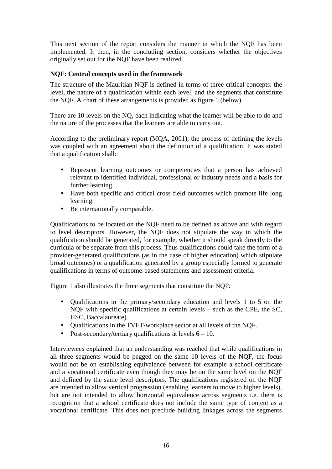This next section of the report considers the manner in which the NQF has been implemented. It then, in the concluding section, considers whether the objectives originally set out for the NQF have been realized.

#### **NQF: Central concepts used in the framework**

The structure of the Mauritian NQF is defined in terms of three critical concepts: the level, the nature of a qualification within each level, and the segments that constitute the NQF. A chart of these arrangements is provided as figure 1 (below).

There are 10 levels on the NQ, each indicating what the learner will be able to do and the nature of the processes that the learners are able to carry out.

According to the preliminary report (MQA, 2001), the process of defining the levels was coupled with an agreement about the definition of a qualification. It was stated that a qualification shall:

- Represent learning outcomes or competencies that a person has achieved relevant to identified individual, professional or industry needs and a basis for further learning.
- Have both specific and critical cross field outcomes which promote life long learning.
- Be internationally comparable.

Qualifications to be located on the NQF need to be defined as above and with regard to level descriptors. However, the NQF does not stipulate the way in which the qualification should be generated, for example, whether it should speak directly to the curricula or be separate from this process. Thus qualifications could take the form of a provider-generated qualifications (as in the case of higher education) which stipulate broad outcomes) or a qualification generated by a group especially formed to generate qualifications in terms of outcome-based statements and assessment criteria.

Figure 1 also illustrates the three segments that constitute the NQF:

- Qualifications in the primary/secondary education and levels 1 to 5 on the NQF with specific qualifications at certain levels – such as the CPE, the SC, HSC, Baccalaureate).
- Qualifications in the TVET/workplace sector at all levels of the NQF.
- Post-secondary/tertiary qualifications at levels  $6 10$ .

Interviewees explained that an understanding was reached that while qualifications in all three segments would be pegged on the same 10 levels of the NQF, the focus would not be on establishing equivalence between for example a school certificate and a vocational certificate even though they may be on the same level on the NQF and defined by the same level descriptors. The qualifications registered on the NQF are intended to allow vertical progression (enabling learners to move to higher levels), but are not intended to allow horizontal equivalence across segments i.e. there is recognition that a school certificate does not include the same type of content as a vocational certificate. This does not preclude building linkages across the segments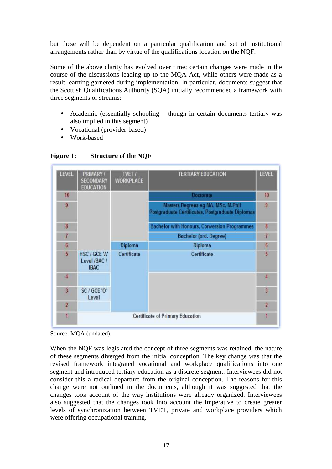but these will be dependent on a particular qualification and set of institutional arrangements rather than by virtue of the qualifications location on the NQF.

Some of the above clarity has evolved over time; certain changes were made in the course of the discussions leading up to the MQA Act, while others were made as a result learning garnered during implementation. In particular, documents suggest that the Scottish Qualifications Authority (SQA) initially recommended a framework with three segments or streams:

- Academic (essentially schooling though in certain documents tertiary was also implied in this segment)
- Vocational (provider-based)
- Work-based

| <b>LEVEL</b>   | <b>PRIMARY /</b><br><b>SECONDARY</b><br><b>EDUCATION</b> | <b>TVET /</b><br><b>WORKPLACE</b> | <b>TERTIARY EDUCATION</b>                                                              | <b>LEVEL</b>   |  |  |
|----------------|----------------------------------------------------------|-----------------------------------|----------------------------------------------------------------------------------------|----------------|--|--|
| 10             |                                                          |                                   | <b>Doctorate</b>                                                                       | 10             |  |  |
| 9              |                                                          |                                   | Masters Degrees eg MA, MSc, M.Phil<br>Postgraduate Certificates, Postgraduate Diplomas | 9              |  |  |
| 8              |                                                          |                                   | <b>Bachelor with Honours, Conversion Programmes</b>                                    | 8              |  |  |
| 7              |                                                          |                                   | Bachelor (ord. Degree)                                                                 | $\overline{7}$ |  |  |
| $6\phantom{1}$ |                                                          | Diploma                           | Diploma                                                                                | 6              |  |  |
| $\overline{5}$ | HSC / GCE 'A'<br>Level /BAC /<br><b>IBAC</b>             | Certificate                       | Certificate                                                                            | 5              |  |  |
| 4              |                                                          |                                   |                                                                                        | 4              |  |  |
| $\overline{3}$ | SCIGCE 'O'<br>Level                                      |                                   |                                                                                        | $\overline{3}$ |  |  |
| $\overline{2}$ |                                                          |                                   |                                                                                        | $\overline{2}$ |  |  |
| 1              | <b>Certificate of Primary Education</b>                  |                                   |                                                                                        |                |  |  |

#### **Figure 1: Structure of the NQF**

Source: MQA (undated).

When the NQF was legislated the concept of three segments was retained, the nature of these segments diverged from the initial conception. The key change was that the revised framework integrated vocational and workplace qualifications into one segment and introduced tertiary education as a discrete segment. Interviewees did not consider this a radical departure from the original conception. The reasons for this change were not outlined in the documents, although it was suggested that the changes took account of the way institutions were already organized. Interviewees also suggested that the changes took into account the imperative to create greater levels of synchronization between TVET, private and workplace providers which were offering occupational training.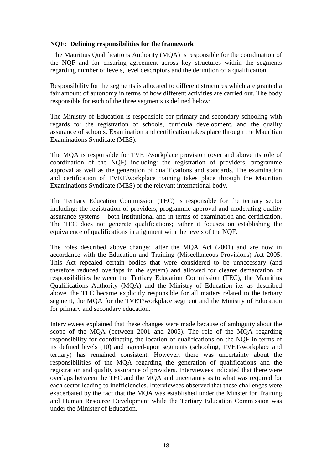#### **NQF: Defining responsibilities for the framework**

 The Mauritius Qualifications Authority (MQA) is responsible for the coordination of the NQF and for ensuring agreement across key structures within the segments regarding number of levels, level descriptors and the definition of a qualification.

Responsibility for the segments is allocated to different structures which are granted a fair amount of autonomy in terms of how different activities are carried out. The body responsible for each of the three segments is defined below:

The Ministry of Education is responsible for primary and secondary schooling with regards to: the registration of schools, curricula development, and the quality assurance of schools. Examination and certification takes place through the Mauritian Examinations Syndicate (MES).

The MQA is responsible for TVET/workplace provision (over and above its role of coordination of the NQF) including: the registration of providers, programme approval as well as the generation of qualifications and standards. The examination and certification of TVET/workplace training takes place through the Mauritian Examinations Syndicate (MES) or the relevant international body.

The Tertiary Education Commission (TEC) is responsible for the tertiary sector including: the registration of providers, programme approval and moderating quality assurance systems – both institutional and in terms of examination and certification. The TEC does not generate qualifications; rather it focuses on establishing the equivalence of qualifications in alignment with the levels of the NQF.

The roles described above changed after the MQA Act (2001) and are now in accordance with the Education and Training (Miscellaneous Provisions) Act 2005. This Act repealed certain bodies that were considered to be unnecessary (and therefore reduced overlaps in the system) and allowed for clearer demarcation of responsibilities between the Tertiary Education Commission (TEC), the Mauritius Qualifications Authority (MQA) and the Ministry of Education i.e. as described above, the TEC became explicitly responsible for all matters related to the tertiary segment, the MQA for the TVET/workplace segment and the Ministry of Education for primary and secondary education.

Interviewees explained that these changes were made because of ambiguity about the scope of the MQA (between 2001 and 2005). The role of the MQA regarding responsibility for coordinating the location of qualifications on the NQF in terms of its defined levels (10) and agreed-upon segments (schooling, TVET/workplace and tertiary) has remained consistent. However, there was uncertainty about the responsibilities of the MQA regarding the generation of qualifications and the registration and quality assurance of providers. Interviewees indicated that there were overlaps between the TEC and the MQA and uncertainty as to what was required for each sector leading to inefficiencies. Interviewees observed that these challenges were exacerbated by the fact that the MQA was established under the Minster for Training and Human Resource Development while the Tertiary Education Commission was under the Minister of Education.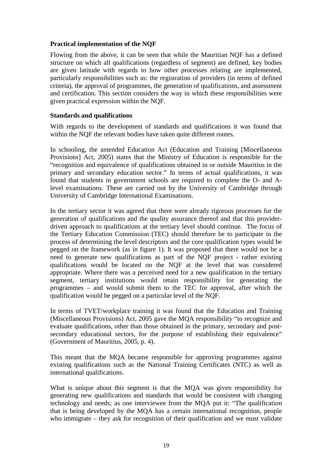#### **Practical implementation of the NQF**

Flowing from the above, it can be seen that while the Mauritian NQF has a defined structure on which all qualifications (regardless of segment) are defined, key bodies are given latitude with regards to how other processes relating are implemented, particularly responsibilities such as: the registration of providers (in terms of defined criteria), the approval of programmes, the generation of qualifications, and assessment and certification. This section considers the way in which these responsibilities were given practical expression within the NQF.

#### **Standards and qualifications**

With regards to the development of standards and qualifications it was found that within the NQF the relevant bodies have taken quite different routes.

In schooling, the amended Education Act (Education and Training [Miscellaneous Provisions] Act, 2005) states that the Ministry of Education is responsible for the "recognition and equivalence of qualifications obtained in or outside Mauritius in the primary and secondary education sector." In terms of actual qualifications, it was found that students in government schools are required to complete the O- and Alevel examinations. These are carried out by the University of Cambridge through University of Cambridge International Examinations.

In the tertiary sector it was agreed that there were already rigorous processes for the generation of qualifications and the quality assurance thereof and that this providerdriven approach to qualifications at the tertiary level should continue. The focus of the Tertiary Education Commission (TEC) should therefore be to participate in the process of determining the level descriptors and the core qualification types would be pegged on the framework (as in figure 1). It was proposed that there would not be a need to generate new qualifications as part of the NQF project - rather existing qualifications would be located on the NQF at the level that was considered appropriate. Where there was a perceived need for a new qualification in the tertiary segment, tertiary institutions would retain responsibility for generating the programmes – and would submit them to the TEC for approval, after which the qualification would be pegged on a particular level of the NQF.

In terms of TVET/workplace training it was found that the Education and Training (Miscellaneous Provisions) Act, 2005 gave the MQA responsibility "to recognize and evaluate qualifications, other than those obtained in the primary, secondary and postsecondary educational sectors, for the purpose of establishing their equivalence" (Government of Mauritius, 2005, p. 4).

This meant that the MQA became responsible for approving programmes against existing qualifications such as the National Training Certificates (NTC) as well as international qualifications.

What is unique about this segment is that the MQA was given responsibility for generating new qualifications and standards that would be consistent with changing technology and needs; as one interviewee from the MQA put it: "The qualification that is being developed by the MQA has a certain international recognition, people who immigrate – they ask for recognition of their qualification and we must validate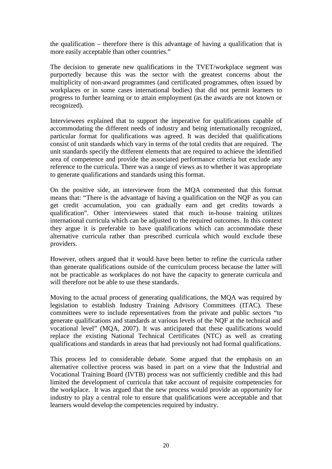the qualification – therefore there is this advantage of having a qualification that is more easily acceptable than other countries."

The decision to generate new qualifications in the TVET/workplace segment was purportedly because this was the sector with the greatest concerns about the multiplicity of non-award programmes (and certificated programmes, often issued by workplaces or in some cases international bodies) that did not permit learners to progress to further learning or to attain employment (as the awards are not known or recognized).

Interviewees explained that to support the imperative for qualifications capable of accommodating the different needs of industry and being internationally recognized, particular format for qualifications was agreed. It was decided that qualifications consist of unit standards which vary in terms of the total credits that are required. The unit standards specify the different elements that are required to achieve the identified area of competence and provide the associated performance criteria but exclude any reference to the curricula. There was a range of views as to whether it was appropriate to generate qualifications and standards using this format.

On the positive side, an interviewee from the MQA commented that this format means that: "There is the advantage of having a qualification on the NQF as you can get credit accumulation, you can gradually earn and get credits towards a qualification". Other interviewees stated that much in-house training utilizes international curricula which can be adjusted to the required outcomes. In this context they argue it is preferable to have qualifications which can accommodate these alternative curricula rather than prescribed curricula which would exclude these providers.

However, others argued that it would have been better to refine the curricula rather than generate qualifications outside of the curriculum process because the latter will not be practicable as workplaces do not have the capacity to generate curricula and will therefore not be able to use these standards.

Moving to the actual process of generating qualifications, the MQA was required by legislation to establish Industry Training Advisory Committees (ITAC). These committees were to include representatives from the private and public sectors "to generate qualifications and standards at various levels of the NQF at the technical and vocational level" (MQA, 2007). It was anticipated that these qualifications would replace the existing National Technical Certificates (NTC) as well as creating qualifications and standards in areas that had previously not had formal qualifications.

This process led to considerable debate. Some argued that the emphasis on an alternative collective process was based in part on a view that the Industrial and Vocational Training Board (IVTB) process was not sufficiently credible and this had limited the development of curricula that take account of requisite competencies for the workplace. It was argued that the new process would provide an opportunity for industry to play a central role to ensure that qualifications were acceptable and that learners would develop the competencies required by industry.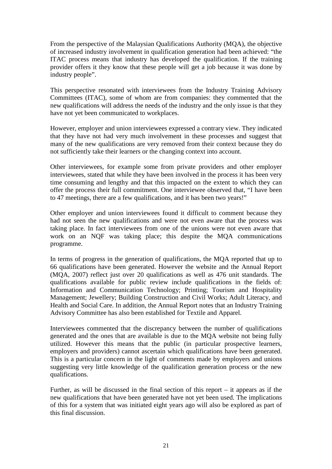From the perspective of the Malaysian Qualifications Authority (MQA), the objective of increased industry involvement in qualification generation had been achieved: "the ITAC process means that industry has developed the qualification. If the training provider offers it they know that these people will get a job because it was done by industry people".

This perspective resonated with interviewees from the Industry Training Advisory Committees (ITAC), some of whom are from companies: they commented that the new qualifications will address the needs of the industry and the only issue is that they have not yet been communicated to workplaces.

However, employer and union interviewees expressed a contrary view. They indicated that they have not had very much involvement in these processes and suggest that many of the new qualifications are very removed from their context because they do not sufficiently take their learners or the changing context into account.

Other interviewees, for example some from private providers and other employer interviewees, stated that while they have been involved in the process it has been very time consuming and lengthy and that this impacted on the extent to which they can offer the process their full commitment. One interviewee observed that, "I have been to 47 meetings, there are a few qualifications, and it has been two years!"

Other employer and union interviewees found it difficult to comment because they had not seen the new qualifications and were not even aware that the process was taking place. In fact interviewees from one of the unions were not even aware that work on an NQF was taking place; this despite the MQA communications programme.

In terms of progress in the generation of qualifications, the MQA reported that up to 66 qualifications have been generated. However the website and the Annual Report (MQA, 2007) reflect just over 20 qualifications as well as 476 unit standards. The qualifications available for public review include qualifications in the fields of: Information and Communication Technology; Printing; Tourism and Hospitality Management; Jewellery; Building Construction and Civil Works; Adult Literacy, and Health and Social Care. In addition, the Annual Report notes that an Industry Training Advisory Committee has also been established for Textile and Apparel.

Interviewees commented that the discrepancy between the number of qualifications generated and the ones that are available is due to the MQA website not being fully utilized. However this means that the public (in particular prospective learners, employers and providers) cannot ascertain which qualifications have been generated. This is a particular concern in the light of comments made by employers and unions suggesting very little knowledge of the qualification generation process or the new qualifications.

Further, as will be discussed in the final section of this report  $-$  it appears as if the new qualifications that have been generated have not yet been used. The implications of this for a system that was initiated eight years ago will also be explored as part of this final discussion.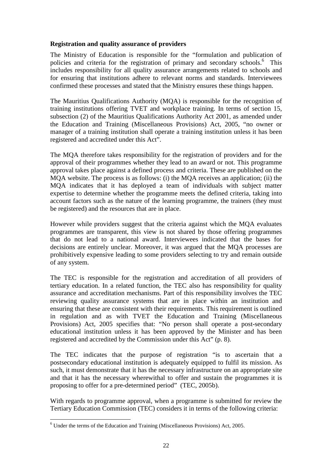#### **Registration and quality assurance of providers**

The Ministry of Education is responsible for the "formulation and publication of policies and criteria for the registration of primary and secondary schools.<sup>6</sup> This includes responsibility for all quality assurance arrangements related to schools and for ensuring that institutions adhere to relevant norms and standards. Interviewees confirmed these processes and stated that the Ministry ensures these things happen.

The Mauritius Qualifications Authority (MQA) is responsible for the recognition of training institutions offering TVET and workplace training. In terms of section 15, subsection (2) of the Mauritius Qualifications Authority Act 2001, as amended under the Education and Training (Miscellaneous Provisions) Act, 2005, "no owner or manager of a training institution shall operate a training institution unless it has been registered and accredited under this Act".

The MQA therefore takes responsibility for the registration of providers and for the approval of their programmes whether they lead to an award or not. This programme approval takes place against a defined process and criteria. These are published on the MQA website. The process is as follows: (i) the MQA receives an application; (ii) the MQA indicates that it has deployed a team of individuals with subject matter expertise to determine whether the programme meets the defined criteria, taking into account factors such as the nature of the learning programme, the trainers (they must be registered) and the resources that are in place.

However while providers suggest that the criteria against which the MQA evaluates programmes are transparent, this view is not shared by those offering programmes that do not lead to a national award. Interviewees indicated that the bases for decisions are entirely unclear. Moreover, it was argued that the MQA processes are prohibitively expensive leading to some providers selecting to try and remain outside of any system.

The TEC is responsible for the registration and accreditation of all providers of tertiary education. In a related function, the TEC also has responsibility for quality assurance and accreditation mechanisms. Part of this responsibility involves the TEC reviewing quality assurance systems that are in place within an institution and ensuring that these are consistent with their requirements. This requirement is outlined in regulation and as with TVET the Education and Training (Miscellaneous Provisions) Act, 2005 specifies that: "No person shall operate a post-secondary educational institution unless it has been approved by the Minister and has been registered and accredited by the Commission under this Act" (p. 8).

The TEC indicates that the purpose of registration "is to ascertain that a postsecondary educational institution is adequately equipped to fulfil its mission. As such, it must demonstrate that it has the necessary infrastructure on an appropriate site and that it has the necessary wherewithal to offer and sustain the programmes it is proposing to offer for a pre-determined period" (TEC, 2005b).

With regards to programme approval, when a programme is submitted for review the Tertiary Education Commission (TEC) considers it in terms of the following criteria:

 6 Under the terms of the Education and Training (Miscellaneous Provisions) Act, 2005.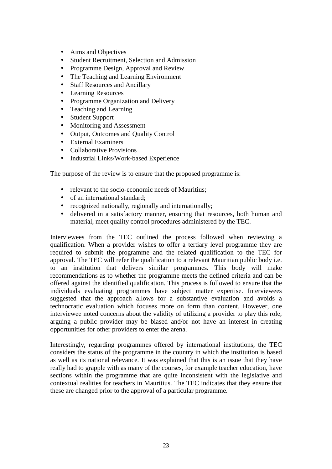- Aims and Objectives
- Student Recruitment, Selection and Admission
- Programme Design, Approval and Review
- The Teaching and Learning Environment
- Staff Resources and Ancillary
- Learning Resources
- Programme Organization and Delivery
- Teaching and Learning
- Student Support
- Monitoring and Assessment
- Output, Outcomes and Quality Control
- External Examiners
- Collaborative Provisions
- Industrial Links/Work-based Experience

The purpose of the review is to ensure that the proposed programme is:

- relevant to the socio-economic needs of Mauritius;
- of an international standard;
- recognized nationally, regionally and internationally;
- delivered in a satisfactory manner, ensuring that resources, both human and material, meet quality control procedures administered by the TEC.

Interviewees from the TEC outlined the process followed when reviewing a qualification. When a provider wishes to offer a tertiary level programme they are required to submit the programme and the related qualification to the TEC for approval. The TEC will refer the qualification to a relevant Mauritian public body i.e. to an institution that delivers similar programmes. This body will make recommendations as to whether the programme meets the defined criteria and can be offered against the identified qualification. This process is followed to ensure that the individuals evaluating programmes have subject matter expertise. Interviewees suggested that the approach allows for a substantive evaluation and avoids a technocratic evaluation which focuses more on form than content. However, one interviewee noted concerns about the validity of utilizing a provider to play this role, arguing a public provider may be biased and/or not have an interest in creating opportunities for other providers to enter the arena.

Interestingly, regarding programmes offered by international institutions, the TEC considers the status of the programme in the country in which the institution is based as well as its national relevance. It was explained that this is an issue that they have really had to grapple with as many of the courses, for example teacher education, have sections within the programme that are quite inconsistent with the legislative and contextual realities for teachers in Mauritius. The TEC indicates that they ensure that these are changed prior to the approval of a particular programme.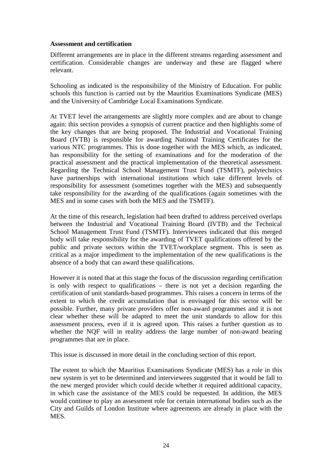#### **Assessment and certification**

Different arrangements are in place in the different streams regarding assessment and certification. Considerable changes are underway and these are flagged where relevant.

Schooling as indicated is the responsibility of the Ministry of Education. For public schools this function is carried out by the Mauritius Examinations Syndicate (MES) and the University of Cambridge Local Examinations Syndicate.

At TVET level the arrangements are slightly more complex and are about to change again: this section provides a synopsis of current practice and then highlights some of the key changes that are being proposed. The Industrial and Vocational Training Board (IVTB) is responsible for awarding National Training Certificates for the various NTC programmes. This is done together with the MES which, as indicated, has responsibility for the setting of examinations and for the moderation of the practical assessment and the practical implementation of the theoretical assessment. Regarding the Technical School Management Trust Fund (TSMTF), polytechnics have partnerships with international institutions which take different levels of responsibility for assessment (sometimes together with the MES) and subsequently take responsibility for the awarding of the qualifications (again sometimes with the MES and in some cases with both the MES and the TSMTF).

At the time of this research, legislation had been drafted to address perceived overlaps between the Industrial and Vocational Training Board (IVTB) and the Technical School Management Trust Fund (TSMTF). Interviewees indicated that this merged body will take responsibility for the awarding of TVET qualifications offered by the public and private sectors within the TVET/workplace segment. This is seen as critical as a major impediment to the implementation of the new qualifications is the absence of a body that can award these qualifications.

However it is noted that at this stage the focus of the discussion regarding certification is only with respect to qualifications – there is not yet a decision regarding the certification of unit standards-based programmes. This raises a concern in terms of the extent to which the credit accumulation that is envisaged for this sector will be possible. Further, many private providers offer non-award programmes and it is not clear whether these will be adapted to meet the unit standards to allow for this assessment process, even if it is agreed upon. This raises a further question as to whether the NQF will in reality address the large number of non-award bearing programmes that are in place.

This issue is discussed in more detail in the concluding section of this report.

The extent to which the Mauritius Examinations Syndicate (MES) has a role in this new system is yet to be determined and interviewees suggested that it would be fall to the new merged provider which could decide whether it required additional capacity, in which case the assistance of the MES could be requested. In addition, the MES would continue to play an assessment role for certain international bodies such as the City and Guilds of London Institute where agreements are already in place with the MES.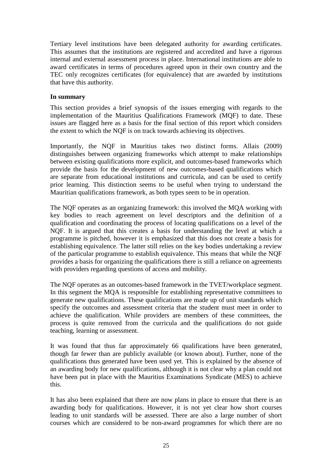Tertiary level institutions have been delegated authority for awarding certificates. This assumes that the institutions are registered and accredited and have a rigorous internal and external assessment process in place. International institutions are able to award certificates in terms of procedures agreed upon in their own country and the TEC only recognizes certificates (for equivalence) that are awarded by institutions that have this authority.

#### **In summary**

This section provides a brief synopsis of the issues emerging with regards to the implementation of the Mauritius Qualifications Framework (MQF) to date. These issues are flagged here as a basis for the final section of this report which considers the extent to which the NQF is on track towards achieving its objectives.

Importantly, the NQF in Mauritius takes two distinct forms. Allais (2009) distinguishes between organizing frameworks which attempt to make relationships between existing qualifications more explicit, and outcomes-based frameworks which provide the basis for the development of new outcomes-based qualifications which are separate from educational institutions and curricula, and can be used to certify prior learning. This distinction seems to be useful when trying to understand the Mauritian qualifications framework, as both types seem to be in operation.

The NQF operates as an organizing framework: this involved the MQA working with key bodies to reach agreement on level descriptors and the definition of a qualification and coordinating the process of locating qualifications on a level of the NQF. It is argued that this creates a basis for understanding the level at which a programme is pitched, however it is emphasized that this does not create a basis for establishing equivalence. The latter still relies on the key bodies undertaking a review of the particular programme to establish equivalence. This means that while the NQF provides a basis for organizing the qualifications there is still a reliance on agreements with providers regarding questions of access and mobility.

The NQF operates as an outcomes-based framework in the TVET/workplace segment. In this segment the MQA is responsible for establishing representative committees to generate new qualifications. These qualifications are made up of unit standards which specify the outcomes and assessment criteria that the student must meet in order to achieve the qualification. While providers are members of these committees, the process is quite removed from the curricula and the qualifications do not guide teaching, learning or assessment.

It was found that thus far approximately 66 qualifications have been generated, though far fewer than are publicly available (or known about). Further, none of the qualifications thus generated have been used yet. This is explained by the absence of an awarding body for new qualifications, although it is not clear why a plan could not have been put in place with the Mauritius Examinations Syndicate (MES) to achieve this.

It has also been explained that there are now plans in place to ensure that there is an awarding body for qualifications. However, it is not yet clear how short courses leading to unit standards will be assessed. There are also a large number of short courses which are considered to be non-award programmes for which there are no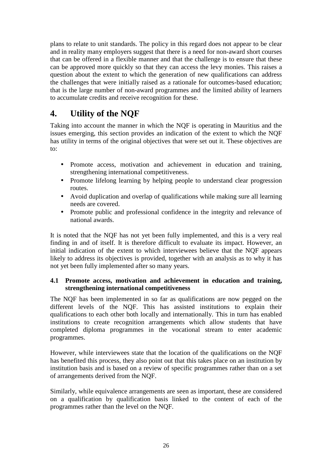plans to relate to unit standards. The policy in this regard does not appear to be clear and in reality many employers suggest that there is a need for non-award short courses that can be offered in a flexible manner and that the challenge is to ensure that these can be approved more quickly so that they can access the levy monies. This raises a question about the extent to which the generation of new qualifications can address the challenges that were initially raised as a rationale for outcomes-based education; that is the large number of non-award programmes and the limited ability of learners to accumulate credits and receive recognition for these.

### **4. Utility of the NQF**

Taking into account the manner in which the NQF is operating in Mauritius and the issues emerging, this section provides an indication of the extent to which the NQF has utility in terms of the original objectives that were set out it. These objectives are to:

- Promote access, motivation and achievement in education and training, strengthening international competitiveness.
- Promote lifelong learning by helping people to understand clear progression routes.
- Avoid duplication and overlap of qualifications while making sure all learning needs are covered.
- Promote public and professional confidence in the integrity and relevance of national awards.

It is noted that the NQF has not yet been fully implemented, and this is a very real finding in and of itself. It is therefore difficult to evaluate its impact. However, an initial indication of the extent to which interviewees believe that the NQF appears likely to address its objectives is provided, together with an analysis as to why it has not yet been fully implemented after so many years.

#### **4.1 Promote access, motivation and achievement in education and training, strengthening international competitiveness**

The NQF has been implemented in so far as qualifications are now pegged on the different levels of the NQF. This has assisted institutions to explain their qualifications to each other both locally and internationally. This in turn has enabled institutions to create recognition arrangements which allow students that have completed diploma programmes in the vocational stream to enter academic programmes.

However, while interviewees state that the location of the qualifications on the NQF has benefited this process, they also point out that this takes place on an institution by institution basis and is based on a review of specific programmes rather than on a set of arrangements derived from the NQF.

Similarly, while equivalence arrangements are seen as important, these are considered on a qualification by qualification basis linked to the content of each of the programmes rather than the level on the NQF.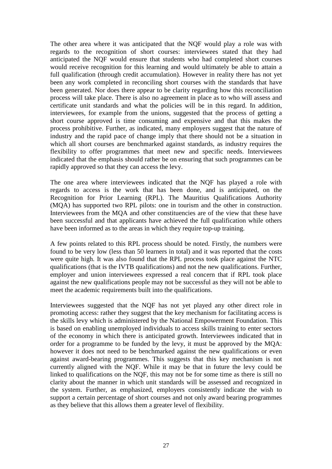The other area where it was anticipated that the NQF would play a role was with regards to the recognition of short courses: interviewees stated that they had anticipated the NQF would ensure that students who had completed short courses would receive recognition for this learning and would ultimately be able to attain a full qualification (through credit accumulation). However in reality there has not yet been any work completed in reconciling short courses with the standards that have been generated. Nor does there appear to be clarity regarding how this reconciliation process will take place. There is also no agreement in place as to who will assess and certificate unit standards and what the policies will be in this regard. In addition, interviewees, for example from the unions, suggested that the process of getting a short course approved is time consuming and expensive and that this makes the process prohibitive. Further, as indicated, many employers suggest that the nature of industry and the rapid pace of change imply that there should not be a situation in which all short courses are benchmarked against standards, as industry requires the flexibility to offer programmes that meet new and specific needs. Interviewees indicated that the emphasis should rather be on ensuring that such programmes can be rapidly approved so that they can access the levy.

The one area where interviewees indicated that the NQF has played a role with regards to access is the work that has been done, and is anticipated, on the Recognition for Prior Learning (RPL). The Mauritius Qualifications Authority (MQA) has supported two RPL pilots: one in tourism and the other in construction. Interviewees from the MQA and other constituencies are of the view that these have been successful and that applicants have achieved the full qualification while others have been informed as to the areas in which they require top-up training.

A few points related to this RPL process should be noted. Firstly, the numbers were found to be very low (less than 50 learners in total) and it was reported that the costs were quite high. It was also found that the RPL process took place against the NTC qualifications (that is the IVTB qualifications) and not the new qualifications. Further, employer and union interviewees expressed a real concern that if RPL took place against the new qualifications people may not be successful as they will not be able to meet the academic requirements built into the qualifications.

Interviewees suggested that the NQF has not yet played any other direct role in promoting access: rather they suggest that the key mechanism for facilitating access is the skills levy which is administered by the National Empowerment Foundation. This is based on enabling unemployed individuals to access skills training to enter sectors of the economy in which there is anticipated growth. Interviewees indicated that in order for a programme to be funded by the levy, it must be approved by the MQA: however it does not need to be benchmarked against the new qualifications or even against award-bearing programmes. This suggests that this key mechanism is not currently aligned with the NQF. While it may be that in future the levy could be linked to qualifications on the NQF, this may not be for some time as there is still no clarity about the manner in which unit standards will be assessed and recognized in the system. Further, as emphasized, employers consistently indicate the wish to support a certain percentage of short courses and not only award bearing programmes as they believe that this allows them a greater level of flexibility.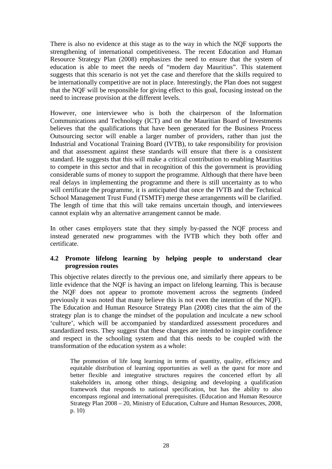There is also no evidence at this stage as to the way in which the NQF supports the strengthening of international competitiveness. The recent Education and Human Resource Strategy Plan (2008) emphasizes the need to ensure that the system of education is able to meet the needs of "modern day Mauritius". This statement suggests that this scenario is not yet the case and therefore that the skills required to be internationally competitive are not in place. Interestingly, the Plan does not suggest that the NQF will be responsible for giving effect to this goal, focusing instead on the need to increase provision at the different levels.

However, one interviewee who is both the chairperson of the Information Communications and Technology (ICT) and on the Mauritian Board of Investments believes that the qualifications that have been generated for the Business Process Outsourcing sector will enable a larger number of providers, rather than just the Industrial and Vocational Training Board (IVTB), to take responsibility for provision and that assessment against these standards will ensure that there is a consistent standard. He suggests that this will make a critical contribution to enabling Mauritius to compete in this sector and that in recognition of this the government is providing considerable sums of money to support the programme. Although that there have been real delays in implementing the programme and there is still uncertainty as to who will certificate the programme, it is anticipated that once the IVTB and the Technical School Management Trust Fund (TSMTF) merge these arrangements will be clarified. The length of time that this will take remains uncertain though, and interviewees cannot explain why an alternative arrangement cannot be made.

In other cases employers state that they simply by-passed the NQF process and instead generated new programmes with the IVTB which they both offer and certificate.

#### **4.2 Promote lifelong learning by helping people to understand clear progression routes**

This objective relates directly to the previous one, and similarly there appears to be little evidence that the NQF is having an impact on lifelong learning. This is because the NQF does not appear to promote movement across the segments (indeed previously it was noted that many believe this is not even the intention of the NQF). The Education and Human Resource Strategy Plan (2008) cites that the aim of the strategy plan is to change the mindset of the population and inculcate a new school 'culture', which will be accompanied by standardized assessment procedures and standardized tests. They suggest that these changes are intended to inspire confidence and respect in the schooling system and that this needs to be coupled with the transformation of the education system as a whole:

The promotion of life long learning in terms of quantity, quality, efficiency and equitable distribution of learning opportunities as well as the quest for more and better flexible and integrative structures requires the concerted effort by all stakeholders in, among other things, designing and developing a qualification framework that responds to national specification, but has the ability to also encompass regional and international prerequisites. (Education and Human Resource Strategy Plan 2008 – 20, Ministry of Education, Culture and Human Resources, 2008, p. 10)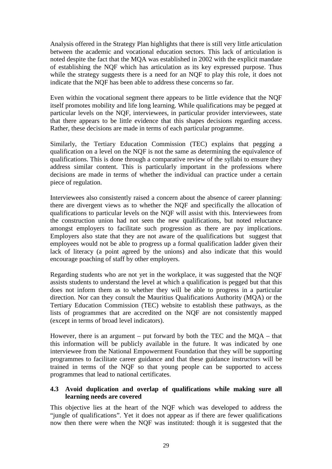Analysis offered in the Strategy Plan highlights that there is still very little articulation between the academic and vocational education sectors. This lack of articulation is noted despite the fact that the MQA was established in 2002 with the explicit mandate of establishing the NQF which has articulation as its key expressed purpose. Thus while the strategy suggests there is a need for an NOF to play this role, it does not indicate that the NQF has been able to address these concerns so far.

Even within the vocational segment there appears to be little evidence that the NQF itself promotes mobility and life long learning. While qualifications may be pegged at particular levels on the NQF, interviewees, in particular provider interviewees, state that there appears to be little evidence that this shapes decisions regarding access. Rather, these decisions are made in terms of each particular programme.

Similarly, the Tertiary Education Commission (TEC) explains that pegging a qualification on a level on the NQF is not the same as determining the equivalence of qualifications. This is done through a comparative review of the syllabi to ensure they address similar content. This is particularly important in the professions where decisions are made in terms of whether the individual can practice under a certain piece of regulation.

Interviewees also consistently raised a concern about the absence of career planning: there are divergent views as to whether the NQF and specifically the allocation of qualifications to particular levels on the NQF will assist with this. Interviewees from the construction union had not seen the new qualifications, but noted reluctance amongst employers to facilitate such progression as there are pay implications. Employers also state that they are not aware of the qualifications but suggest that employees would not be able to progress up a formal qualification ladder given their lack of literacy (a point agreed by the unions) and also indicate that this would encourage poaching of staff by other employers.

Regarding students who are not yet in the workplace, it was suggested that the NQF assists students to understand the level at which a qualification is pegged but that this does not inform them as to whether they will be able to progress in a particular direction. Nor can they consult the Mauritius Qualifications Authority (MQA) or the Tertiary Education Commission (TEC) website to establish these pathways, as the lists of programmes that are accredited on the NQF are not consistently mapped (except in terms of broad level indicators).

However, there is an argument – put forward by both the TEC and the  $MQA - that$ this information will be publicly available in the future. It was indicated by one interviewee from the National Empowerment Foundation that they will be supporting programmes to facilitate career guidance and that these guidance instructors will be trained in terms of the NQF so that young people can be supported to access programmes that lead to national certificates.

#### **4.3 Avoid duplication and overlap of qualifications while making sure all learning needs are covered**

This objective lies at the heart of the NQF which was developed to address the "jungle of qualifications". Yet it does not appear as if there are fewer qualifications now then there were when the NQF was instituted: though it is suggested that the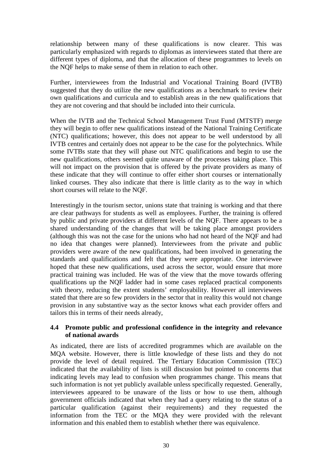relationship between many of these qualifications is now clearer. This was particularly emphasized with regards to diplomas as interviewees stated that there are different types of diploma, and that the allocation of these programmes to levels on the NQF helps to make sense of them in relation to each other.

Further, interviewees from the Industrial and Vocational Training Board (IVTB) suggested that they do utilize the new qualifications as a benchmark to review their own qualifications and curricula and to establish areas in the new qualifications that they are not covering and that should be included into their curricula.

When the IVTB and the Technical School Management Trust Fund (MTSTF) merge they will begin to offer new qualifications instead of the National Training Certificate (NTC) qualifications; however, this does not appear to be well understood by all IVTB centres and certainly does not appear to be the case for the polytechnics. While some IVTBs state that they will phase out NTC qualifications and begin to use the new qualifications, others seemed quite unaware of the processes taking place. This will not impact on the provision that is offered by the private providers as many of these indicate that they will continue to offer either short courses or internationally linked courses. They also indicate that there is little clarity as to the way in which short courses will relate to the NQF.

Interestingly in the tourism sector, unions state that training is working and that there are clear pathways for students as well as employees. Further, the training is offered by public and private providers at different levels of the NQF. There appears to be a shared understanding of the changes that will be taking place amongst providers (although this was not the case for the unions who had not heard of the NQF and had no idea that changes were planned). Interviewees from the private and public providers were aware of the new qualifications, had been involved in generating the standards and qualifications and felt that they were appropriate. One interviewee hoped that these new qualifications, used across the sector, would ensure that more practical training was included. He was of the view that the move towards offering qualifications up the NQF ladder had in some cases replaced practical components with theory, reducing the extent students' employability. However all interviewees stated that there are so few providers in the sector that in reality this would not change provision in any substantive way as the sector knows what each provider offers and tailors this in terms of their needs already,

#### **4.4 Promote public and professional confidence in the integrity and relevance of national awards**

As indicated, there are lists of accredited programmes which are available on the MQA website. However, there is little knowledge of these lists and they do not provide the level of detail required. The Tertiary Education Commission (TEC) indicated that the availability of lists is still discussion but pointed to concerns that indicating levels may lead to confusion when programmes change. This means that such information is not yet publicly available unless specifically requested. Generally, interviewees appeared to be unaware of the lists or how to use them, although government officials indicated that when they had a query relating to the status of a particular qualification (against their requirements) and they requested the information from the TEC or the MQA they were provided with the relevant information and this enabled them to establish whether there was equivalence.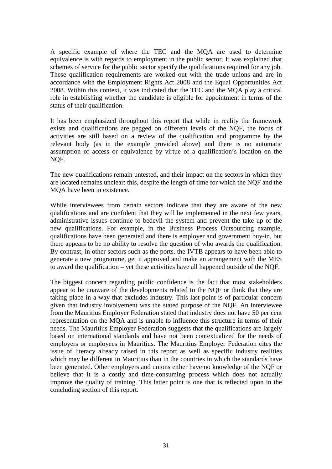A specific example of where the TEC and the MQA are used to determine equivalence is with regards to employment in the public sector. It was explained that schemes of service for the public sector specify the qualifications required for any job. These qualification requirements are worked out with the trade unions and are in accordance with the Employment Rights Act 2008 and the Equal Opportunities Act 2008. Within this context, it was indicated that the TEC and the MQA play a critical role in establishing whether the candidate is eligible for appointment in terms of the status of their qualification.

It has been emphasized throughout this report that while in reality the framework exists and qualifications are pegged on different levels of the NQF, the focus of activities are still based on a review of the qualification and programme by the relevant body (as in the example provided above) and there is no automatic assumption of access or equivalence by virtue of a qualification's location on the NQF.

The new qualifications remain untested, and their impact on the sectors in which they are located remains unclear: this, despite the length of time for which the NQF and the MQA have been in existence.

While interviewees from certain sectors indicate that they are aware of the new qualifications and are confident that they will be implemented in the next few years, administrative issues continue to bedevil the system and prevent the take up of the new qualifications. For example, in the Business Process Outsourcing example, qualifications have been generated and there is employer and government buy-in, but there appears to be no ability to resolve the question of who awards the qualification. By contrast, in other sectors such as the ports, the IVTB appears to have been able to generate a new programme, get it approved and make an arrangement with the MES to award the qualification – yet these activities have all happened outside of the NQF.

The biggest concern regarding public confidence is the fact that most stakeholders appear to be unaware of the developments related to the NQF or think that they are taking place in a way that excludes industry. This last point is of particular concern given that industry involvement was the stated purpose of the NQF. An interviewee from the Mauritius Employer Federation stated that industry does not have 50 per cent representation on the MQA and is unable to influence this structure in terms of their needs. The Mauritius Employer Federation suggests that the qualifications are largely based on international standards and have not been contextualized for the needs of employers or employees in Mauritius. The Mauritius Employer Federation cites the issue of literacy already raised in this report as well as specific industry realities which may be different in Mauritius than in the countries in which the standards have been generated. Other employers and unions either have no knowledge of the NQF or believe that it is a costly and time-consuming process which does not actually improve the quality of training. This latter point is one that is reflected upon in the concluding section of this report.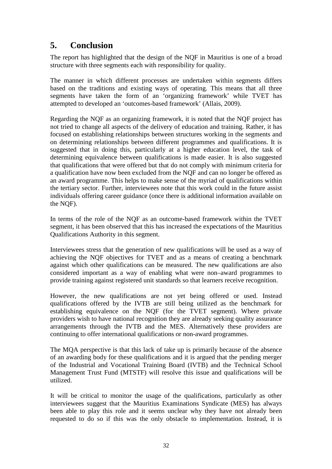### **5. Conclusion**

The report has highlighted that the design of the NQF in Mauritius is one of a broad structure with three segments each with responsibility for quality.

The manner in which different processes are undertaken within segments differs based on the traditions and existing ways of operating. This means that all three segments have taken the form of an 'organizing framework' while TVET has attempted to developed an 'outcomes-based framework' (Allais, 2009).

Regarding the NQF as an organizing framework, it is noted that the NQF project has not tried to change all aspects of the delivery of education and training. Rather, it has focused on establishing relationships between structures working in the segments and on determining relationships between different programmes and qualifications. It is suggested that in doing this, particularly at a higher education level, the task of determining equivalence between qualifications is made easier. It is also suggested that qualifications that were offered but that do not comply with minimum criteria for a qualification have now been excluded from the NQF and can no longer be offered as an award programme. This helps to make sense of the myriad of qualifications within the tertiary sector. Further, interviewees note that this work could in the future assist individuals offering career guidance (once there is additional information available on the NQF).

In terms of the role of the NQF as an outcome-based framework within the TVET segment, it has been observed that this has increased the expectations of the Mauritius Qualifications Authority in this segment.

Interviewees stress that the generation of new qualifications will be used as a way of achieving the NQF objectives for TVET and as a means of creating a benchmark against which other qualifications can be measured. The new qualifications are also considered important as a way of enabling what were non–award programmes to provide training against registered unit standards so that learners receive recognition.

However, the new qualifications are not yet being offered or used. Instead qualifications offered by the IVTB are still being utilized as the benchmark for establishing equivalence on the NQF (for the TVET segment). Where private providers wish to have national recognition they are already seeking quality assurance arrangements through the IVTB and the MES. Alternatively these providers are continuing to offer international qualifications or non-award programmes.

The MQA perspective is that this lack of take up is primarily because of the absence of an awarding body for these qualifications and it is argued that the pending merger of the Industrial and Vocational Training Board (IVTB) and the Technical School Management Trust Fund (MTSTF) will resolve this issue and qualifications will be utilized.

It will be critical to monitor the usage of the qualifications, particularly as other interviewees suggest that the Mauritius Examinations Syndicate (MES) has always been able to play this role and it seems unclear why they have not already been requested to do so if this was the only obstacle to implementation. Instead, it is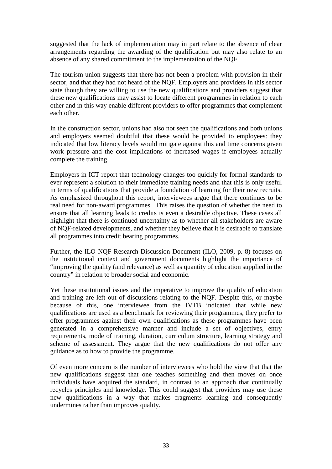suggested that the lack of implementation may in part relate to the absence of clear arrangements regarding the awarding of the qualification but may also relate to an absence of any shared commitment to the implementation of the NQF.

The tourism union suggests that there has not been a problem with provision in their sector, and that they had not heard of the NQF. Employers and providers in this sector state though they are willing to use the new qualifications and providers suggest that these new qualifications may assist to locate different programmes in relation to each other and in this way enable different providers to offer programmes that complement each other.

In the construction sector, unions had also not seen the qualifications and both unions and employers seemed doubtful that these would be provided to employees: they indicated that low literacy levels would mitigate against this and time concerns given work pressure and the cost implications of increased wages if employees actually complete the training.

Employers in ICT report that technology changes too quickly for formal standards to ever represent a solution to their immediate training needs and that this is only useful in terms of qualifications that provide a foundation of learning for their new recruits. As emphasized throughout this report, interviewees argue that there continues to be real need for non-award programmes. This raises the question of whether the need to ensure that all learning leads to credits is even a desirable objective. These cases all highlight that there is continued uncertainty as to whether all stakeholders are aware of NQF-related developments, and whether they believe that it is desirable to translate all programmes into credit bearing programmes.

Further, the ILO NQF Research Discussion Document (ILO, 2009, p. 8) focuses on the institutional context and government documents highlight the importance of "improving the quality (and relevance) as well as quantity of education supplied in the country" in relation to broader social and economic.

Yet these institutional issues and the imperative to improve the quality of education and training are left out of discussions relating to the NQF. Despite this, or maybe because of this, one interviewee from the IVTB indicated that while new qualifications are used as a benchmark for reviewing their programmes, they prefer to offer programmes against their own qualifications as these programmes have been generated in a comprehensive manner and include a set of objectives, entry requirements, mode of training, duration, curriculum structure, learning strategy and scheme of assessment. They argue that the new qualifications do not offer any guidance as to how to provide the programme.

Of even more concern is the number of interviewees who hold the view that that the new qualifications suggest that one teaches something and then moves on once individuals have acquired the standard, in contrast to an approach that continually recycles principles and knowledge. This could suggest that providers may use these new qualifications in a way that makes fragments learning and consequently undermines rather than improves quality.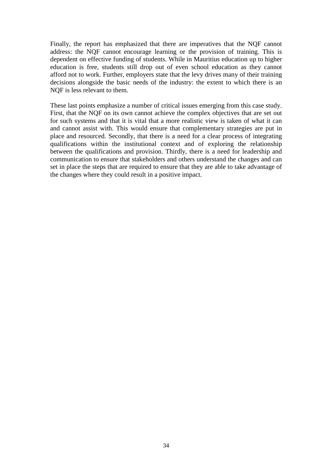Finally, the report has emphasized that there are imperatives that the NQF cannot address: the NQF cannot encourage learning or the provision of training. This is dependent on effective funding of students. While in Mauritius education up to higher education is free, students still drop out of even school education as they cannot afford not to work. Further, employers state that the levy drives many of their training decisions alongside the basic needs of the industry: the extent to which there is an NQF is less relevant to them.

These last points emphasize a number of critical issues emerging from this case study. First, that the NQF on its own cannot achieve the complex objectives that are set out for such systems and that it is vital that a more realistic view is taken of what it can and cannot assist with. This would ensure that complementary strategies are put in place and resourced. Secondly, that there is a need for a clear process of integrating qualifications within the institutional context and of exploring the relationship between the qualifications and provision. Thirdly, there is a need for leadership and communication to ensure that stakeholders and others understand the changes and can set in place the steps that are required to ensure that they are able to take advantage of the changes where they could result in a positive impact.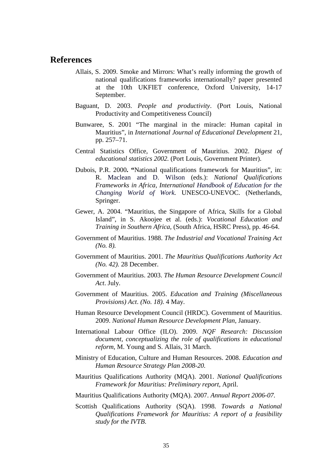#### **References**

- Allais, S. 2009. Smoke and Mirrors: What's really informing the growth of national qualifications frameworks internationally? paper presented at the 10th UKFIET conference, Oxford University, 14-17 September.
- Baguant, D. 2003. *People and productivity*. (Port Louis, National Productivity and Competitiveness Council)
- Bunwaree, S. 2001 "The marginal in the miracle: Human capital in Mauritius", in *International Journal of Educational Development* 21, pp. 257–71.
- Central Statistics Office, Government of Mauritius. 2002. *Digest of educational statistics 2002.* (Port Louis, Government Printer).
- Dubois, P.R. 2000**. "**National qualifications framework for Mauritius", in: R. Maclean and D. Wilson (eds.): *National Qualifications Frameworks in Africa, International Handbook of Education for the Changing World of Work.* UNESCO-UNEVOC. (Netherlands, Springer.
- Gewer, A. 2004. "Mauritius, the Singapore of Africa, Skills for a Global Island", in S. Akoojee et al. (eds.): *Vocational Education and Training in Southern Africa,* (South Africa, HSRC Press), pp. 46-64.
- Government of Mauritius. 1988. *The Industrial and Vocational Training Act (No. 8).*
- Government of Mauritius. 2001. *The Mauritius Qualifications Authority Act (No. 42).* 28 December.
- Government of Mauritius. 2003. *The Human Resource Development Council Act*. July.
- Government of Mauritius. 2005. *Education and Training (Miscellaneous Provisions) Act*. *(No. 18).* 4 May.
- Human Resource Development Council (HRDC). Government of Mauritius. 2009. *National Human Resource Development Plan*, January.
- International Labour Office (ILO). 2009. *NQF Research: Discussion document, conceptualizing the role of qualifications in educational reform*, M. Young and S. Allais, 31 March.
- Ministry of Education, Culture and Human Resources. 2008. *Education and Human Resource Strategy Plan 2008-20.*
- Mauritius Qualifications Authority (MQA). 2001. *National Qualifications Framework for Mauritius: Preliminary report*, April.
- Mauritius Qualifications Authority (MQA). 2007. *Annual Report 2006-07.*
- Scottish Qualifications Authority (SQA). 1998. *Towards a National Qualifications Framework for Mauritius: A report of a feasibility study for the IVTB*.